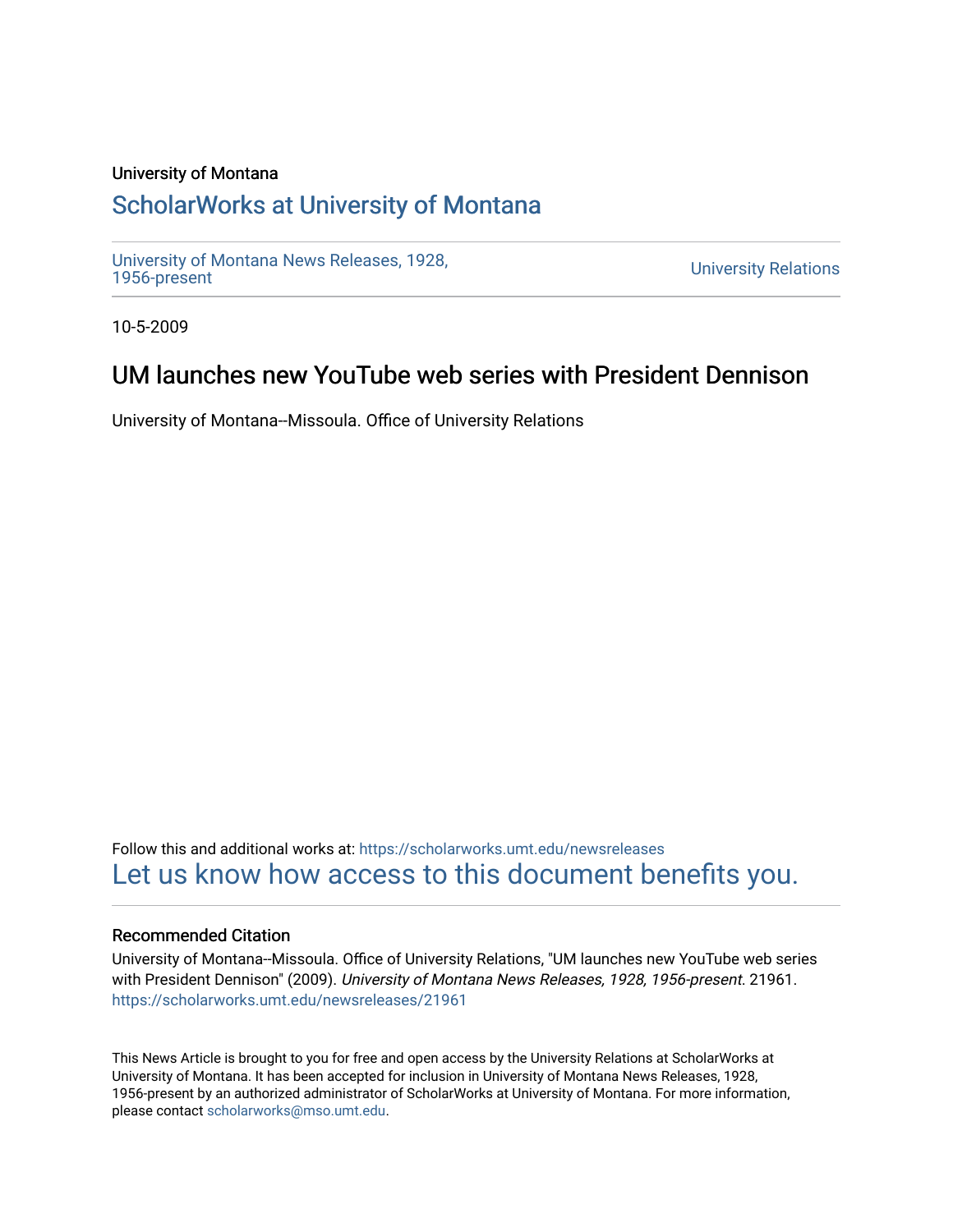### University of Montana

### [ScholarWorks at University of Montana](https://scholarworks.umt.edu/)

[University of Montana News Releases, 1928,](https://scholarworks.umt.edu/newsreleases) 

**University Relations** 

10-5-2009

## UM launches new YouTube web series with President Dennison

University of Montana--Missoula. Office of University Relations

Follow this and additional works at: [https://scholarworks.umt.edu/newsreleases](https://scholarworks.umt.edu/newsreleases?utm_source=scholarworks.umt.edu%2Fnewsreleases%2F21961&utm_medium=PDF&utm_campaign=PDFCoverPages) [Let us know how access to this document benefits you.](https://goo.gl/forms/s2rGfXOLzz71qgsB2) 

#### Recommended Citation

University of Montana--Missoula. Office of University Relations, "UM launches new YouTube web series with President Dennison" (2009). University of Montana News Releases, 1928, 1956-present. 21961. [https://scholarworks.umt.edu/newsreleases/21961](https://scholarworks.umt.edu/newsreleases/21961?utm_source=scholarworks.umt.edu%2Fnewsreleases%2F21961&utm_medium=PDF&utm_campaign=PDFCoverPages) 

This News Article is brought to you for free and open access by the University Relations at ScholarWorks at University of Montana. It has been accepted for inclusion in University of Montana News Releases, 1928, 1956-present by an authorized administrator of ScholarWorks at University of Montana. For more information, please contact [scholarworks@mso.umt.edu.](mailto:scholarworks@mso.umt.edu)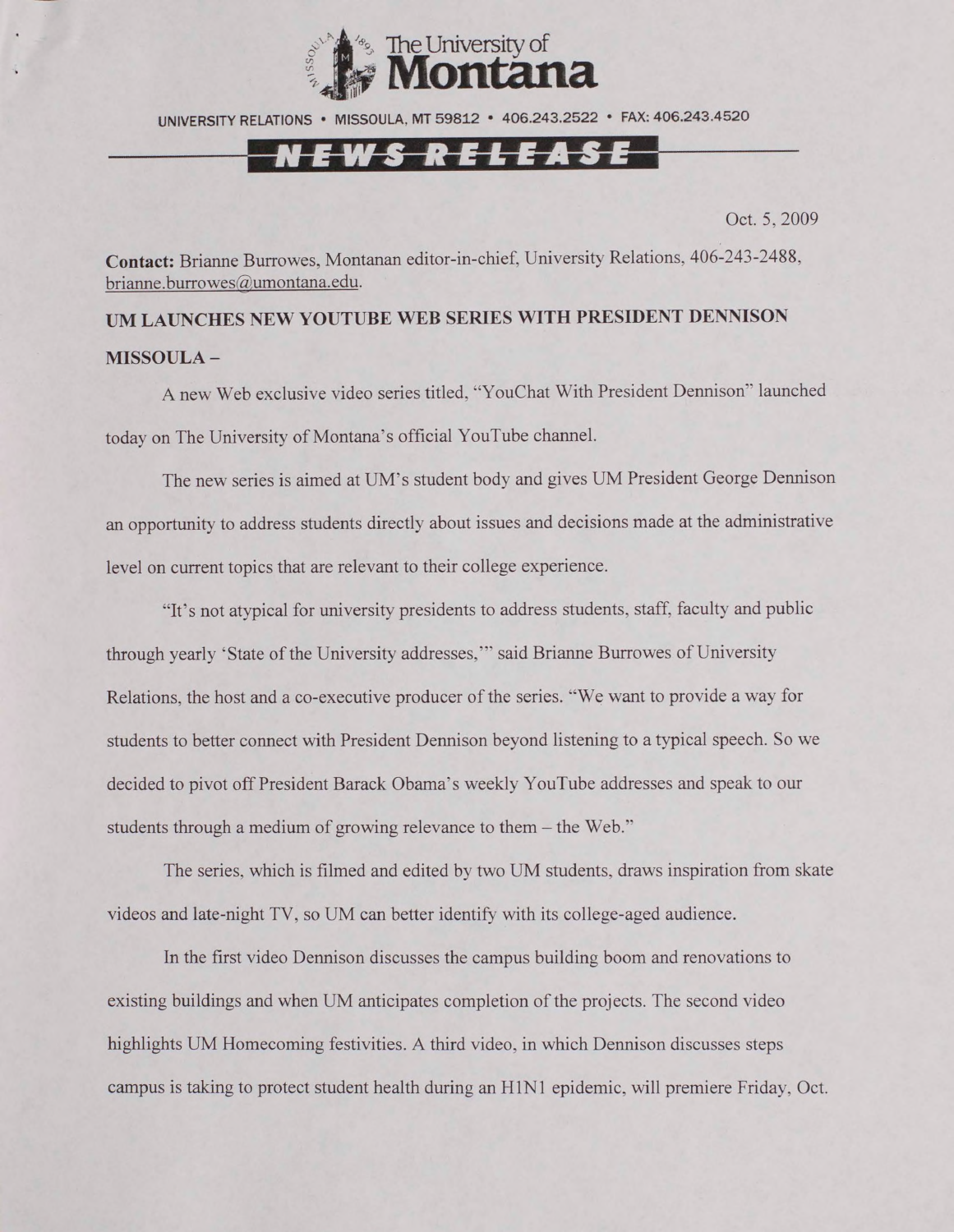

UNIVERSITY RELATIONS • MISSOULA. MT 59812 • 406.243.2522 • FAX: 406.243.4520

# *<u>r</u>*

Oct. 5, 2009

**Contact:** Brianne Burrowes, Montanan editor-in-chief, University Relations, 406-243-2488, [brianne.burrowes@umontana.edu](mailto:brianne.burrowes@umontana.edu).

**UM LAUNCHES NEW YOUTUBE WEB SERIES WITH PRESIDENT DENNISON MISSOULA -**

A new Web exclusive video series titled, "YouChat With President Dennison" launched today on The University of Montana's official YouTube channel.

The new series is aimed at UM's student body and gives UM President George Dennison an opportunity to address students directly about issues and decisions made at the administrative level on current topics that are relevant to their college experience.

"It's not atypical for university presidents to address students, staff, faculty and public through yearly 'State of the University addresses,"' said Brianne Burrowes of University Relations, the host and a co-executive producer of the series. "We want to provide a way for students to better connect with President Dennison beyond listening to a typical speech. So we decided to pivot off President Barack Obama's weekly YouTube addresses and speak to our students through a medium of growing relevance to them - the Web."

The series, which is filmed and edited by two UM students, draws inspiration from skate videos and late-night TV, so UM can better identify with its college-aged audience.

In the first video Dennison discusses the campus building boom and renovations to existing buildings and when UM anticipates completion of the projects. The second video highlights UM Homecoming festivities. A third video, in which Dennison discusses steps campus is taking to protect student health during an H1N1 epidemic, will premiere Friday, Oct.